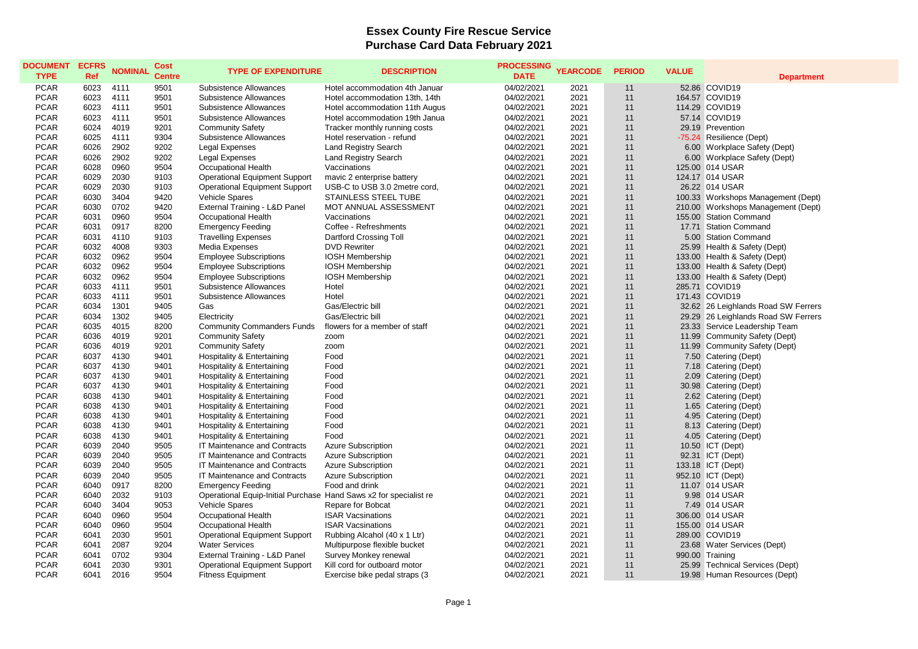## **Essex County Fire Rescue Service Purchase Card Data February 2021**

| <b>DOCUMENT</b><br><b>TYPE</b> | <b>ECFRS</b><br>Ref | <b>NOMINAL</b> | <b>Cost</b><br><b>Centre</b> | <b>TYPE OF EXPENDITURE</b>                                        | <b>DESCRIPTION</b>             | <b>PROCESSING</b><br><b>DATE</b> | <b>YEARCODE</b> | <b>PERIOD</b> | <b>VALUE</b> | <b>Department</b>                   |
|--------------------------------|---------------------|----------------|------------------------------|-------------------------------------------------------------------|--------------------------------|----------------------------------|-----------------|---------------|--------------|-------------------------------------|
| <b>PCAR</b>                    | 6023                | 4111           | 9501                         | Subsistence Allowances                                            | Hotel accommodation 4th Januar | 04/02/2021                       | 2021            | 11            |              | 52.86 COVID19                       |
| <b>PCAR</b>                    | 6023                | 4111           | 9501                         | Subsistence Allowances                                            | Hotel accommodation 13th, 14th | 04/02/2021                       | 2021            | 11            |              | 164.57 COVID19                      |
| <b>PCAR</b>                    | 6023                | 4111           | 9501                         | Subsistence Allowances                                            | Hotel accommodation 11th Augus | 04/02/2021                       | 2021            | 11            |              | 114.29 COVID19                      |
| <b>PCAR</b>                    | 6023                | 4111           | 9501                         | Subsistence Allowances                                            | Hotel accommodation 19th Janua | 04/02/2021                       | 2021            | 11            |              | 57.14 COVID19                       |
| <b>PCAR</b>                    | 6024                | 4019           | 9201                         | <b>Community Safety</b>                                           | Tracker monthly running costs  | 04/02/2021                       | 2021            | 11            |              | 29.19 Prevention                    |
| <b>PCAR</b>                    | 6025                | 4111           | 9304                         | Subsistence Allowances                                            | Hotel reservation - refund     | 04/02/2021                       | 2021            | 11            |              | -75.24 Resilience (Dept)            |
| <b>PCAR</b>                    | 6026                | 2902           | 9202                         | <b>Legal Expenses</b>                                             | <b>Land Registry Search</b>    | 04/02/2021                       | 2021            | 11            |              | 6.00 Workplace Safety (Dept)        |
| <b>PCAR</b>                    | 6026                | 2902           | 9202                         | <b>Legal Expenses</b>                                             | Land Registry Search           | 04/02/2021                       | 2021            | 11            |              | 6.00 Workplace Safety (Dept)        |
| <b>PCAR</b>                    | 6028                | 0960           | 9504                         | Occupational Health                                               | Vaccinations                   | 04/02/2021                       | 2021            | 11            |              | 125.00 014 USAR                     |
| <b>PCAR</b>                    | 6029                | 2030           | 9103                         | <b>Operational Equipment Support</b>                              | mavic 2 enterprise battery     | 04/02/2021                       | 2021            | 11            |              | 124.17 014 USAR                     |
| <b>PCAR</b>                    | 6029                | 2030           | 9103                         | <b>Operational Equipment Support</b>                              | USB-C to USB 3.0 2metre cord,  | 04/02/2021                       | 2021            | 11            |              | 26.22 014 USAR                      |
| <b>PCAR</b>                    | 6030                | 3404           | 9420                         | <b>Vehicle Spares</b>                                             | STAINLESS STEEL TUBE           | 04/02/2021                       | 2021            | 11            |              | 100.33 Workshops Management (Dept)  |
| <b>PCAR</b>                    | 6030                | 0702           | 9420                         | External Training - L&D Panel                                     | MOT ANNUAL ASSESSMENT          | 04/02/2021                       | 2021            | 11            |              | 210.00 Workshops Management (Dept)  |
| <b>PCAR</b>                    | 6031                | 0960           | 9504                         | Occupational Health                                               | Vaccinations                   | 04/02/2021                       | 2021            | 11            |              | 155.00 Station Command              |
| <b>PCAR</b>                    | 6031                | 0917           | 8200                         | <b>Emergency Feeding</b>                                          | Coffee - Refreshments          | 04/02/2021                       | 2021            | 11            |              | 17.71 Station Command               |
| <b>PCAR</b>                    | 6031                | 4110           | 9103                         | <b>Travelling Expenses</b>                                        | Dartford Crossing Toll         | 04/02/2021                       | 2021            | 11            |              | 5.00 Station Command                |
| <b>PCAR</b>                    | 6032                | 4008           | 9303                         | Media Expenses                                                    | <b>DVD Rewriter</b>            | 04/02/2021                       | 2021            | 11            |              | 25.99 Health & Safety (Dept)        |
| <b>PCAR</b>                    | 6032                | 0962           | 9504                         | <b>Employee Subscriptions</b>                                     | <b>IOSH Membership</b>         | 04/02/2021                       | 2021            | 11            |              | 133.00 Health & Safety (Dept)       |
| <b>PCAR</b>                    | 6032                | 0962           | 9504                         | <b>Employee Subscriptions</b>                                     | <b>IOSH Membership</b>         | 04/02/2021                       | 2021            | 11            |              | 133.00 Health & Safety (Dept)       |
| <b>PCAR</b>                    | 6032                | 0962           | 9504                         | <b>Employee Subscriptions</b>                                     | <b>IOSH Membership</b>         | 04/02/2021                       | 2021            | 11            |              | 133.00 Health & Safety (Dept)       |
| <b>PCAR</b>                    | 6033                | 4111           | 9501                         | Subsistence Allowances                                            | Hotel                          | 04/02/2021                       | 2021            | 11            |              | 285.71 COVID19                      |
| <b>PCAR</b>                    | 6033                | 4111           | 9501                         | Subsistence Allowances                                            | Hotel                          | 04/02/2021                       | 2021            | 11            |              | 171.43 COVID19                      |
| <b>PCAR</b>                    | 6034                | 1301           | 9405                         | Gas                                                               | Gas/Electric bill              | 04/02/2021                       | 2021            | 11            |              | 32.62 26 Leighlands Road SW Ferrers |
| <b>PCAR</b>                    | 6034                | 1302           | 9405                         | Electricity                                                       | Gas/Electric bill              | 04/02/2021                       | 2021            | 11            |              | 29.29 26 Leighlands Road SW Ferrers |
| <b>PCAR</b>                    | 6035                | 4015           | 8200                         | <b>Community Commanders Funds</b>                                 | flowers for a member of staff  | 04/02/2021                       | 2021            | 11            |              | 23.33 Service Leadership Team       |
| <b>PCAR</b>                    | 6036                | 4019           | 9201                         | <b>Community Safety</b>                                           | zoom                           | 04/02/2021                       | 2021            | 11            |              | 11.99 Community Safety (Dept)       |
| <b>PCAR</b>                    | 6036                | 4019           | 9201                         | <b>Community Safety</b>                                           | zoom                           | 04/02/2021                       | 2021            | 11            |              | 11.99 Community Safety (Dept)       |
| <b>PCAR</b>                    | 6037                | 4130           | 9401                         | Hospitality & Entertaining                                        | Food                           | 04/02/2021                       | 2021            | 11            |              | 7.50 Catering (Dept)                |
| <b>PCAR</b>                    | 6037                | 4130           | 9401                         | Hospitality & Entertaining                                        | Food                           | 04/02/2021                       | 2021            | 11            |              | 7.18 Catering (Dept)                |
| <b>PCAR</b>                    | 6037                | 4130           | 9401                         | Hospitality & Entertaining                                        | Food                           | 04/02/2021                       | 2021            | 11            |              | 2.09 Catering (Dept)                |
| <b>PCAR</b>                    | 6037                | 4130           | 9401                         | Hospitality & Entertaining                                        | Food                           | 04/02/2021                       | 2021            | 11            |              | 30.98 Catering (Dept)               |
| <b>PCAR</b>                    | 6038                | 4130           | 9401                         | Hospitality & Entertaining                                        | Food                           | 04/02/2021                       | 2021            | 11            |              | 2.62 Catering (Dept)                |
| <b>PCAR</b>                    | 6038                | 4130           | 9401                         | Hospitality & Entertaining                                        | Food                           | 04/02/2021                       | 2021            | 11            |              | 1.65 Catering (Dept)                |
| <b>PCAR</b>                    | 6038                | 4130           | 9401                         | Hospitality & Entertaining                                        | Food                           | 04/02/2021                       | 2021            | 11            |              | 4.95 Catering (Dept)                |
| <b>PCAR</b>                    | 6038                | 4130           | 9401                         | Hospitality & Entertaining                                        | Food                           | 04/02/2021                       | 2021            | 11            |              | 8.13 Catering (Dept)                |
| <b>PCAR</b>                    | 6038                | 4130           | 9401                         | <b>Hospitality &amp; Entertaining</b>                             | Food                           | 04/02/2021                       | 2021            | 11            |              | 4.05 Catering (Dept)                |
| <b>PCAR</b>                    | 6039                | 2040           | 9505                         | IT Maintenance and Contracts                                      | <b>Azure Subscription</b>      | 04/02/2021                       | 2021            | 11            |              | 10.50 ICT (Dept)                    |
| <b>PCAR</b>                    | 6039                | 2040           | 9505                         | IT Maintenance and Contracts                                      | <b>Azure Subscription</b>      | 04/02/2021                       | 2021            | 11            |              | 92.31 ICT (Dept)                    |
| <b>PCAR</b>                    | 6039                | 2040           | 9505                         | IT Maintenance and Contracts                                      | <b>Azure Subscription</b>      | 04/02/2021                       | 2021            | 11            |              | 133.18 ICT (Dept)                   |
| <b>PCAR</b>                    | 6039                | 2040           | 9505                         | IT Maintenance and Contracts                                      | <b>Azure Subscription</b>      | 04/02/2021                       | 2021            | 11            |              | 952.10 ICT (Dept)                   |
| <b>PCAR</b>                    | 6040                | 0917           | 8200                         | <b>Emergency Feeding</b>                                          | Food and drink                 | 04/02/2021                       | 2021            | 11            |              | 11.07 014 USAR                      |
| <b>PCAR</b>                    | 6040                | 2032           | 9103                         | Operational Equip-Initial Purchase Hand Saws x2 for specialist re |                                | 04/02/2021                       | 2021            | 11            |              | 9.98 014 USAR                       |
| <b>PCAR</b>                    | 6040                | 3404           | 9053                         | Vehicle Spares                                                    | Repare for Bobcat              | 04/02/2021                       | 2021            | 11            |              | 7.49 014 USAR                       |
| <b>PCAR</b>                    | 6040                | 0960           | 9504                         | Occupational Health                                               | <b>ISAR Vacsinations</b>       | 04/02/2021                       | 2021            | 11            |              | 306.00 014 USAR                     |
| <b>PCAR</b>                    | 6040                | 0960           | 9504                         | Occupational Health                                               | <b>ISAR Vacsinations</b>       | 04/02/2021                       | 2021            | 11            |              | 155.00 014 USAR                     |
| <b>PCAR</b>                    | 6041                | 2030           | 9501                         | <b>Operational Equipment Support</b>                              | Rubbing Alcahol (40 x 1 Ltr)   | 04/02/2021                       | 2021            | 11            |              | 289.00 COVID19                      |
| <b>PCAR</b>                    | 6041                | 2087           | 9204                         | <b>Water Services</b>                                             | Multipurpose flexible bucket   | 04/02/2021                       | 2021            | 11            |              | 23.68 Water Services (Dept)         |
| <b>PCAR</b>                    | 6041                | 0702           | 9304                         | External Training - L&D Panel                                     | Survey Monkey renewal          | 04/02/2021                       | 2021            | 11            |              | 990.00 Training                     |
| <b>PCAR</b>                    | 6041                | 2030           | 9301                         | <b>Operational Equipment Support</b>                              | Kill cord for outboard motor   | 04/02/2021                       | 2021            | 11            |              | 25.99 Technical Services (Dept)     |
| <b>PCAR</b>                    | 6041                | 2016           | 9504                         | <b>Fitness Equipment</b>                                          | Exercise bike pedal straps (3) | 04/02/2021                       | 2021            | 11            |              | 19.98 Human Resources (Dept)        |